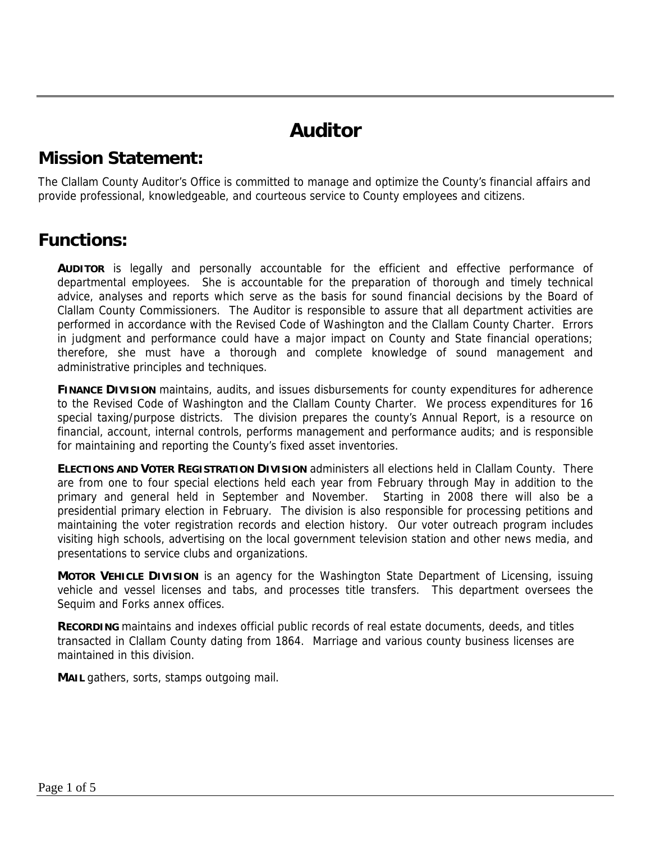# **Auditor**

#### **Mission Statement:**

The Clallam County Auditor's Office is committed to manage and optimize the County's financial affairs and provide professional, knowledgeable, and courteous service to County employees and citizens.

#### **Functions:**

**AUDITOR** is legally and personally accountable for the efficient and effective performance of departmental employees. She is accountable for the preparation of thorough and timely technical advice, analyses and reports which serve as the basis for sound financial decisions by the Board of Clallam County Commissioners. The Auditor is responsible to assure that all department activities are performed in accordance with the Revised Code of Washington and the Clallam County Charter. Errors in judgment and performance could have a major impact on County and State financial operations; therefore, she must have a thorough and complete knowledge of sound management and administrative principles and techniques.

**FINANCE DIVISION** maintains, audits, and issues disbursements for county expenditures for adherence to the Revised Code of Washington and the Clallam County Charter. We process expenditures for 16 special taxing/purpose districts. The division prepares the county's Annual Report, is a resource on financial, account, internal controls, performs management and performance audits; and is responsible for maintaining and reporting the County's fixed asset inventories.

**ELECTIONS AND VOTER REGISTRATION DIVISION** administers all elections held in Clallam County. There are from one to four special elections held each year from February through May in addition to the primary and general held in September and November. Starting in 2008 there will also be a presidential primary election in February. The division is also responsible for processing petitions and maintaining the voter registration records and election history. Our voter outreach program includes visiting high schools, advertising on the local government television station and other news media, and presentations to service clubs and organizations.

**MOTOR VEHICLE DIVISION** is an agency for the Washington State Department of Licensing, issuing vehicle and vessel licenses and tabs, and processes title transfers. This department oversees the Sequim and Forks annex offices.

**RECORDING** maintains and indexes official public records of real estate documents, deeds, and titles transacted in Clallam County dating from 1864. Marriage and various county business licenses are maintained in this division.

**MAIL** gathers, sorts, stamps outgoing mail.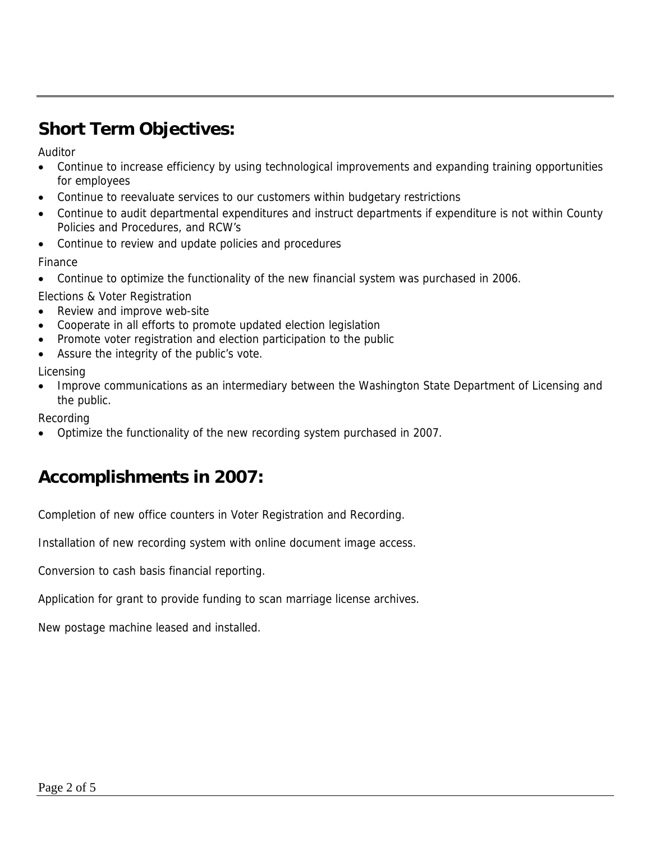## **Short Term Objectives:**

Auditor

- Continue to increase efficiency by using technological improvements and expanding training opportunities for employees
- Continue to reevaluate services to our customers within budgetary restrictions
- Continue to audit departmental expenditures and instruct departments if expenditure is not within County Policies and Procedures, and RCW's
- Continue to review and update policies and procedures

Finance

• Continue to optimize the functionality of the new financial system was purchased in 2006.

Elections & Voter Registration

- Review and improve web-site
- Cooperate in all efforts to promote updated election legislation
- Promote voter registration and election participation to the public
- Assure the integrity of the public's vote.

Licensing

• Improve communications as an intermediary between the Washington State Department of Licensing and the public.

Recording

• Optimize the functionality of the new recording system purchased in 2007.

## **Accomplishments in 2007:**

Completion of new office counters in Voter Registration and Recording.

Installation of new recording system with online document image access.

Conversion to cash basis financial reporting.

Application for grant to provide funding to scan marriage license archives.

New postage machine leased and installed.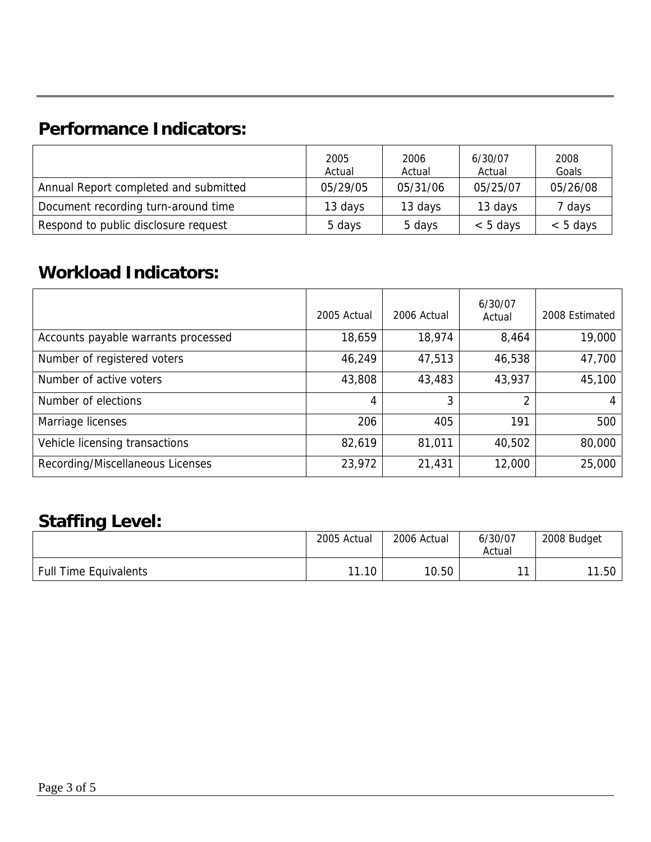## **Performance Indicators:**

|                                       | 2005<br>Actual | 2006<br>Actual | 6/30/07<br>Actual | 2008<br>Goals |
|---------------------------------------|----------------|----------------|-------------------|---------------|
| Annual Report completed and submitted | 05/29/05       | 05/31/06       | 05/25/07          | 05/26/08      |
| Document recording turn-around time   | 13 days        | 13 days        | 13 days           | 7 days        |
| Respond to public disclosure request  | 5 days         | 5 days         | $< 5$ days        | $< 5$ days    |

### **Workload Indicators:**

|                                     | 2005 Actual | 2006 Actual | 6/30/07<br>Actual | 2008 Estimated |
|-------------------------------------|-------------|-------------|-------------------|----------------|
| Accounts payable warrants processed | 18,659      | 18,974      | 8,464             | 19,000         |
| Number of registered voters         | 46,249      | 47,513      | 46,538            | 47,700         |
| Number of active voters             | 43,808      | 43,483      | 43,937            | 45,100         |
| Number of elections                 | 4           | 3           | 2                 | 4              |
| Marriage licenses                   | 206         | 405         | 191               | 500            |
| Vehicle licensing transactions      | 82,619      | 81,011      | 40,502            | 80,000         |
| Recording/Miscellaneous Licenses    | 23,972      | 21,431      | 12,000            | 25,000         |

## **Staffing Level:**

|                              | 2005 Actual | 2006 Actual | 6/30/07<br>Actual | 2008 Budget |
|------------------------------|-------------|-------------|-------------------|-------------|
| <b>Full Time Equivalents</b> | 11.10       | 10.50       | 44                | 11.50       |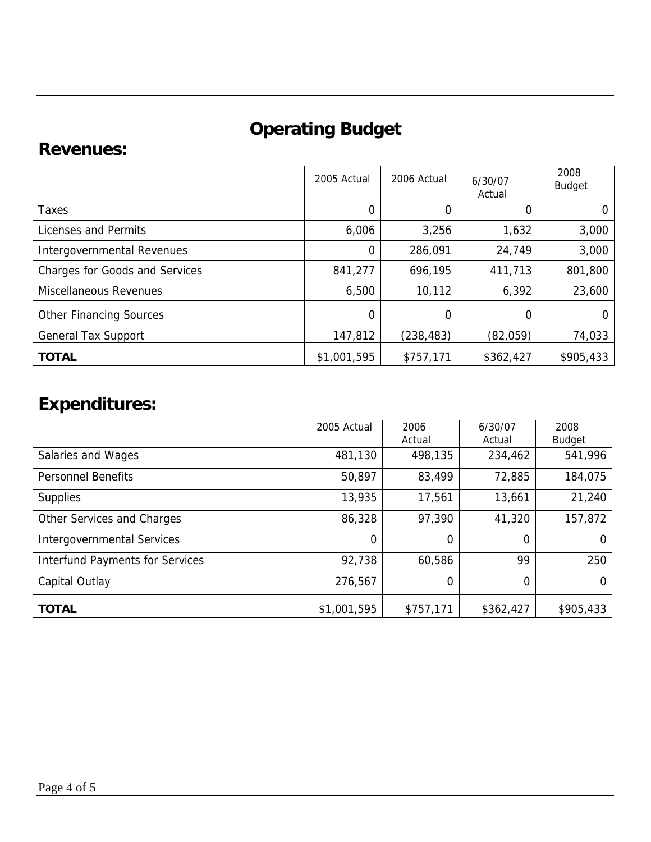# **Operating Budget**

#### **Revenues:**

|                                       | 2005 Actual | 2006 Actual | 6/30/07<br>Actual | 2008<br><b>Budget</b> |
|---------------------------------------|-------------|-------------|-------------------|-----------------------|
| Taxes                                 | 0           | 0           | 0                 | 0                     |
| Licenses and Permits                  | 6,006       | 3,256       | 1,632             | 3,000                 |
| Intergovernmental Revenues            | 0           | 286,091     | 24,749            | 3,000                 |
| <b>Charges for Goods and Services</b> | 841,277     | 696,195     | 411,713           | 801,800               |
| <b>Miscellaneous Revenues</b>         | 6,500       | 10,112      | 6,392             | 23,600                |
| <b>Other Financing Sources</b>        | 0           | 0           | 0                 | 0                     |
| <b>General Tax Support</b>            | 147,812     | (238, 483)  | (82,059)          | 74,033                |
| <b>TOTAL</b>                          | \$1,001,595 | \$757,171   | \$362,427         | \$905,433             |

# **Expenditures:**

|                                        | 2005 Actual | 2006<br>Actual | 6/30/07<br>Actual | 2008<br><b>Budget</b> |
|----------------------------------------|-------------|----------------|-------------------|-----------------------|
| Salaries and Wages                     | 481,130     | 498,135        | 234,462           | 541,996               |
| <b>Personnel Benefits</b>              | 50,897      | 83,499         | 72,885            | 184,075               |
| <b>Supplies</b>                        | 13,935      | 17,561         | 13,661            | 21,240                |
| Other Services and Charges             | 86,328      | 97,390         | 41,320            | 157,872               |
| <b>Intergovernmental Services</b>      | 0           | 0              | 0                 |                       |
| <b>Interfund Payments for Services</b> | 92,738      | 60,586         | 99                | 250                   |
| Capital Outlay                         | 276,567     | 0              | $\Omega$          |                       |
| <b>TOTAL</b>                           | \$1,001,595 | \$757,171      | \$362,427         | \$905,433             |